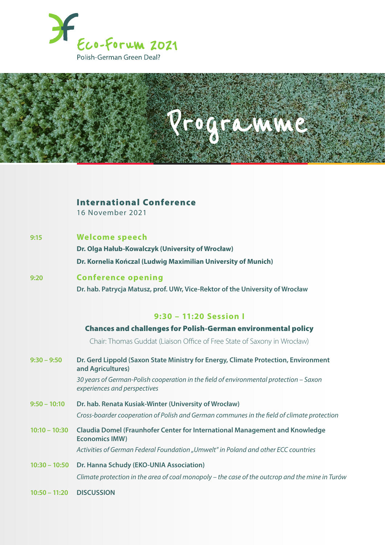



## International Conference

16 November 2021

#### **9:15 Welcome speech**

 **Dr. Olga Hałub-Kowalczyk (University of Wrocław) Dr. Kornelia Kończal (Ludwig Maximilian University of Munich)**

# **9:20 Conference opening Dr. hab. Patrycja Matusz, prof. UWr, Vice-Rektor of the University of Wrocław**

#### **9:30 – 11:20 Session I**

#### Chances and challenges for Polish-German environmental policy

Chair: Thomas Guddat (Liaison Office of Free State of Saxony in Wrocław)

#### **9:30 – 9:50 Dr. Gerd Lippold (Saxon State Ministry for Energy, Climate Protection, Environment and Agricultures)**

 *30 years of German-Polish cooperation in the field of environmental protection – Saxon experiences and perspectives*

**9:50 – 10:10 Dr. hab. Renata Kusiak-Winter (University of Wrocław)**  *Cross-boarder cooperation of Polish and German communes in the field of climate protection*

**10:10 – 10:30 Claudia Domel (Fraunhofer Center for International Management and Knowledge Economics IMW)**  *Activities of German Federal Foundation "Umwelt" in Poland and other ECC countries*

**10:30 – 10:50 Dr. Hanna Schudy (EKO-UNIA Association)** *Climate protection in the area of coal monopoly – the case of the outcrop and the mine in Turów*

**10:50 – 11:20 DISCUSSION**